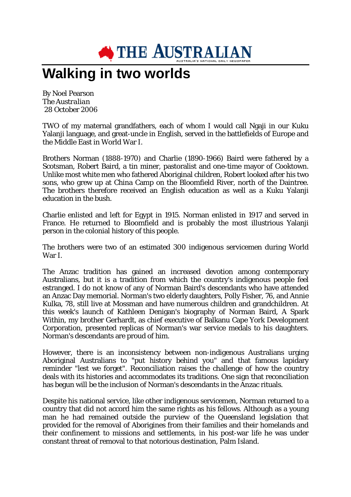

## **Walking in two worlds**

By Noel Pearson *The Australian* 28 October 2006

TWO of my maternal grandfathers, each of whom I would call Ngaji in our Kuku Yalanji language, and great-uncle in English, served in the battlefields of Europe and the Middle East in World War I.

Brothers Norman (1888-1970) and Charlie (1890-1966) Baird were fathered by a Scotsman, Robert Baird, a tin miner, pastoralist and one-time mayor of Cooktown. Unlike most white men who fathered Aboriginal children, Robert looked after his two sons, who grew up at China Camp on the Bloomfield River, north of the Daintree. The brothers therefore received an English education as well as a Kuku Yalanji education in the bush.

Charlie enlisted and left for Egypt in 1915. Norman enlisted in 1917 and served in France. He returned to Bloomfield and is probably the most illustrious Yalanji person in the colonial history of this people.

The brothers were two of an estimated 300 indigenous servicemen during World War I.

The Anzac tradition has gained an increased devotion among contemporary Australians, but it is a tradition from which the country's indigenous people feel estranged. I do not know of any of Norman Baird's descendants who have attended an Anzac Day memorial. Norman's two elderly daughters, Polly Fisher, 76, and Annie Kulka, 78, still live at Mossman and have numerous children and grandchildren. At this week's launch of Kathleen Denigan's biography of Norman Baird, A Spark Within, my brother Gerhardt, as chief executive of Balkanu Cape York Development Corporation, presented replicas of Norman's war service medals to his daughters. Norman's descendants are proud of him.

However, there is an inconsistency between non-indigenous Australians urging Aboriginal Australians to "put history behind you" and that famous lapidary reminder "lest we forget". Reconciliation raises the challenge of how the country deals with its histories and accommodates its traditions. One sign that reconciliation has begun will be the inclusion of Norman's descendants in the Anzac rituals.

Despite his national service, like other indigenous servicemen, Norman returned to a country that did not accord him the same rights as his fellows. Although as a young man he had remained outside the purview of the Queensland legislation that provided for the removal of Aborigines from their families and their homelands and their confinement to missions and settlements, in his post-war life he was under constant threat of removal to that notorious destination, Palm Island.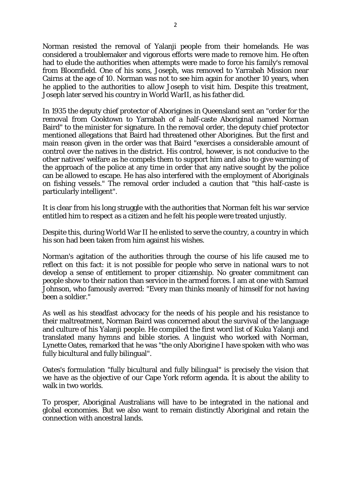Norman resisted the removal of Yalanji people from their homelands. He was considered a troublemaker and vigorous efforts were made to remove him. He often had to elude the authorities when attempts were made to force his family's removal from Bloomfield. One of his sons, Joseph, was removed to Yarrabah Mission near Cairns at the age of 10. Norman was not to see him again for another 10 years, when he applied to the authorities to allow Joseph to visit him. Despite this treatment, Joseph later served his country in World WarII, as his father did.

In 1935 the deputy chief protector of Aborigines in Queensland sent an "order for the removal from Cooktown to Yarrabah of a half-caste Aboriginal named Norman Baird" to the minister for signature. In the removal order, the deputy chief protector mentioned allegations that Baird had threatened other Aborigines. But the first and main reason given in the order was that Baird "exercises a considerable amount of control over the natives in the district. His control, however, is not conducive to the other natives' welfare as he compels them to support him and also to give warning of the approach of the police at any time in order that any native sought by the police can be allowed to escape. He has also interfered with the employment of Aboriginals on fishing vessels." The removal order included a caution that "this half-caste is particularly intelligent".

It is clear from his long struggle with the authorities that Norman felt his war service entitled him to respect as a citizen and he felt his people were treated unjustly.

Despite this, during World War II he enlisted to serve the country, a country in which his son had been taken from him against his wishes.

Norman's agitation of the authorities through the course of his life caused me to reflect on this fact: it is not possible for people who serve in national wars to not develop a sense of entitlement to proper citizenship. No greater commitment can people show to their nation than service in the armed forces. I am at one with Samuel Johnson, who famously averred: "Every man thinks meanly of himself for not having been a soldier."

As well as his steadfast advocacy for the needs of his people and his resistance to their maltreatment, Norman Baird was concerned about the survival of the language and culture of his Yalanji people. He compiled the first word list of Kuku Yalanji and translated many hymns and bible stories. A linguist who worked with Norman, Lynette Oates, remarked that he was "the only Aborigine I have spoken with who was fully bicultural and fully bilingual".

Oates's formulation "fully bicultural and fully bilingual" is precisely the vision that we have as the objective of our Cape York reform agenda. It is about the ability to walk in two worlds.

To prosper, Aboriginal Australians will have to be integrated in the national and global economies. But we also want to remain distinctly Aboriginal and retain the connection with ancestral lands.